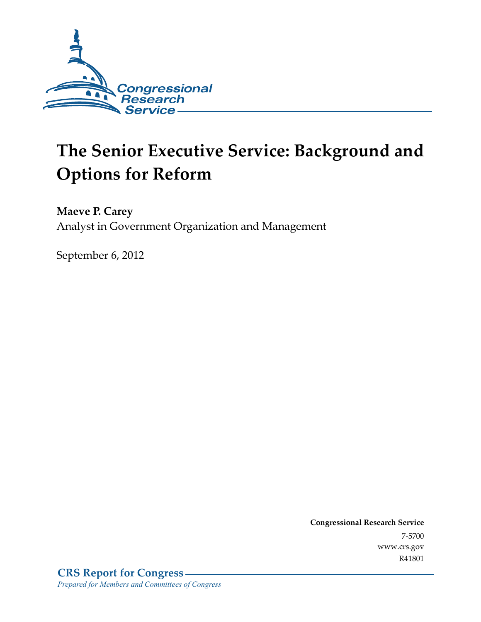

# **The Senior Executive Service: Background and Options for Reform**

**Maeve P. Carey** 

Analyst in Government Organization and Management

September 6, 2012

**Congressional Research Service**  7-5700 www.crs.gov R41801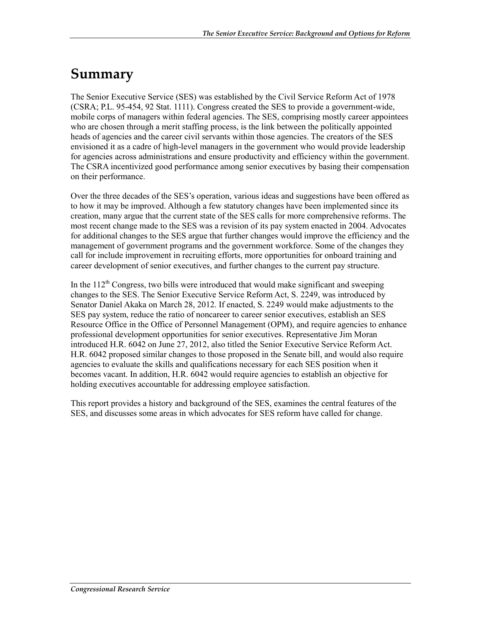# **Summary**

The Senior Executive Service (SES) was established by the Civil Service Reform Act of 1978 (CSRA; P.L. 95-454, 92 Stat. 1111). Congress created the SES to provide a government-wide, mobile corps of managers within federal agencies. The SES, comprising mostly career appointees who are chosen through a merit staffing process, is the link between the politically appointed heads of agencies and the career civil servants within those agencies. The creators of the SES envisioned it as a cadre of high-level managers in the government who would provide leadership for agencies across administrations and ensure productivity and efficiency within the government. The CSRA incentivized good performance among senior executives by basing their compensation on their performance.

Over the three decades of the SES's operation, various ideas and suggestions have been offered as to how it may be improved. Although a few statutory changes have been implemented since its creation, many argue that the current state of the SES calls for more comprehensive reforms. The most recent change made to the SES was a revision of its pay system enacted in 2004. Advocates for additional changes to the SES argue that further changes would improve the efficiency and the management of government programs and the government workforce. Some of the changes they call for include improvement in recruiting efforts, more opportunities for onboard training and career development of senior executives, and further changes to the current pay structure.

In the  $112<sup>th</sup>$  Congress, two bills were introduced that would make significant and sweeping changes to the SES. The Senior Executive Service Reform Act, S. 2249, was introduced by Senator Daniel Akaka on March 28, 2012. If enacted, S. 2249 would make adjustments to the SES pay system, reduce the ratio of noncareer to career senior executives, establish an SES Resource Office in the Office of Personnel Management (OPM), and require agencies to enhance professional development opportunities for senior executives. Representative Jim Moran introduced H.R. 6042 on June 27, 2012, also titled the Senior Executive Service Reform Act. H.R. 6042 proposed similar changes to those proposed in the Senate bill, and would also require agencies to evaluate the skills and qualifications necessary for each SES position when it becomes vacant. In addition, H.R. 6042 would require agencies to establish an objective for holding executives accountable for addressing employee satisfaction.

This report provides a history and background of the SES, examines the central features of the SES, and discusses some areas in which advocates for SES reform have called for change.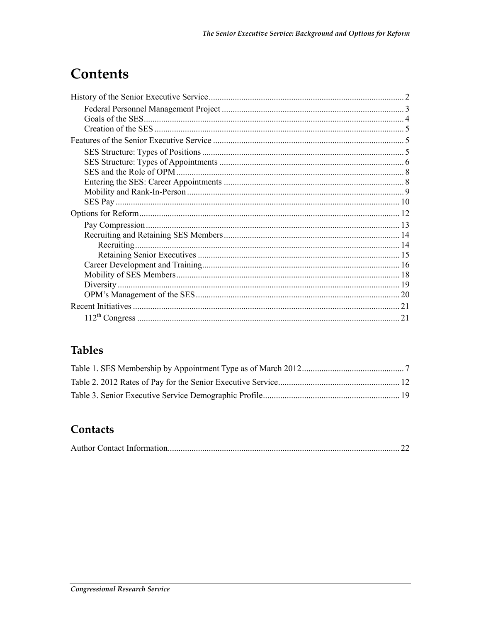# Contents

| Recruiting. |  |
|-------------|--|
|             |  |
|             |  |
|             |  |
|             |  |
|             |  |
|             |  |
|             |  |

## **Tables**

### Contacts

|--|--|--|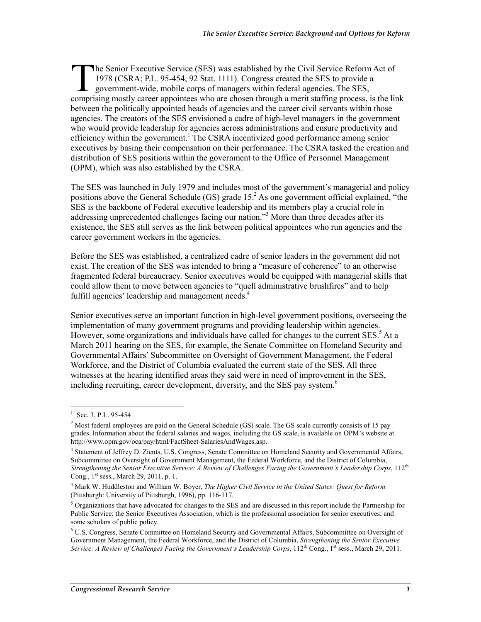**The Senior Executive Service (SES) was established by the Civil Service Reform Act of** 1978 (CSRA; P.L. 95-454, 92 Stat. 1111). Congress created the SES to provide a government-wide, mobile corps of managers within federal agencies. The SES, The Senior Executive Service (SES) was established by the Civil Service Reform Act of 1978 (CSRA; P.L. 95-454, 92 Stat. 1111). Congress created the SES to provide a government-wide, mobile corps of managers within federal between the politically appointed heads of agencies and the career civil servants within those agencies. The creators of the SES envisioned a cadre of high-level managers in the government who would provide leadership for agencies across administrations and ensure productivity and efficiency within the government.<sup>1</sup> The CSRA incentivized good performance among senior executives by basing their compensation on their performance. The CSRA tasked the creation and distribution of SES positions within the government to the Office of Personnel Management (OPM), which was also established by the CSRA.

The SES was launched in July 1979 and includes most of the government's managerial and policy positions above the General Schedule (GS) grade 15.<sup>2</sup> As one government official explained, "the SES is the backbone of Federal executive leadership and its members play a crucial role in addressing unprecedented challenges facing our nation."<sup>3</sup> More than three decades after its existence, the SES still serves as the link between political appointees who run agencies and the career government workers in the agencies.

Before the SES was established, a centralized cadre of senior leaders in the government did not exist. The creation of the SES was intended to bring a "measure of coherence" to an otherwise fragmented federal bureaucracy. Senior executives would be equipped with managerial skills that could allow them to move between agencies to "quell administrative brushfires" and to help fulfill agencies' leadership and management needs.<sup>4</sup>

Senior executives serve an important function in high-level government positions, overseeing the implementation of many government programs and providing leadership within agencies. However, some organizations and individuals have called for changes to the current SES.<sup>5</sup> At a March 2011 hearing on the SES, for example, the Senate Committee on Homeland Security and Governmental Affairs' Subcommittee on Oversight of Government Management, the Federal Workforce, and the District of Columbia evaluated the current state of the SES. All three witnesses at the hearing identified areas they said were in need of improvement in the SES, including recruiting, career development, diversity, and the SES pay system.<sup>6</sup>

<u>.</u>

<sup>&</sup>lt;sup>1</sup> Sec. 3, P.L. 95-454

<sup>&</sup>lt;sup>2</sup> Most federal employees are paid on the General Schedule (GS) scale. The GS scale currently consists of 15 pay grades. Information about the federal salaries and wages, including the GS scale, is available on OPM's website at http://www.opm.gov/oca/pay/html/FactSheet-SalariesAndWages.asp.

<sup>&</sup>lt;sup>3</sup> Statement of Jeffrey D. Zients, U.S. Congress, Senate Committee on Homeland Security and Governmental Affairs, Subcommittee on Oversight of Government Management, the Federal Workforce, and the District of Columbia, *Strengthening the Senior Executive Service: A Review of Challenges Facing the Government's Leadership Corps*, 112<sup>th</sup> Cong.,  $1^{st}$  sess., March 29, 2011, p. 1.

<sup>4</sup> Mark W. Huddleston and William W. Boyer, *The Higher Civil Service in the United States: Quest for Reform* (Pittsburgh: University of Pittsburgh, 1996), pp. 116-117.

<sup>&</sup>lt;sup>5</sup> Organizations that have advocated for changes to the SES and are discussed in this report include the Partnership for Public Service; the Senior Executives Association, which is the professional association for senior executives; and some scholars of public policy.

<sup>&</sup>lt;sup>6</sup> U.S. Congress, Senate Committee on Homeland Security and Governmental Affairs, Subcommittee on Oversight of Government Management, the Federal Workforce, and the District of Columbia, *Strengthening the Senior Executive Service: A Review of Challenges Facing the Government's Leadership Corps*, 112<sup>th</sup> Cong., 1<sup>st</sup> sess., March 29, 2011.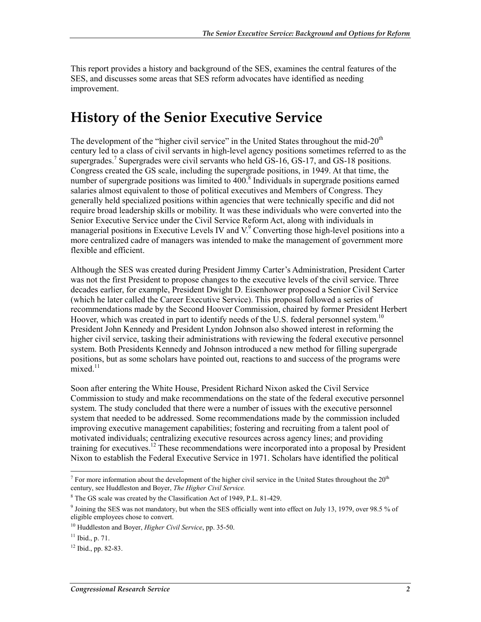This report provides a history and background of the SES, examines the central features of the SES, and discusses some areas that SES reform advocates have identified as needing improvement.

# **History of the Senior Executive Service**

The development of the "higher civil service" in the United States throughout the mid- $20<sup>th</sup>$ century led to a class of civil servants in high-level agency positions sometimes referred to as the supergrades.<sup>7</sup> Supergrades were civil servants who held GS-16, GS-17, and GS-18 positions. Congress created the GS scale, including the supergrade positions, in 1949. At that time, the number of supergrade positions was limited to  $400$ .<sup>8</sup> Individuals in supergrade positions earned salaries almost equivalent to those of political executives and Members of Congress. They generally held specialized positions within agencies that were technically specific and did not require broad leadership skills or mobility. It was these individuals who were converted into the Senior Executive Service under the Civil Service Reform Act, along with individuals in managerial positions in Executive Levels IV and  $V^9$  Converting those high-level positions into a more centralized cadre of managers was intended to make the management of government more flexible and efficient.

Although the SES was created during President Jimmy Carter's Administration, President Carter was not the first President to propose changes to the executive levels of the civil service. Three decades earlier, for example, President Dwight D. Eisenhower proposed a Senior Civil Service (which he later called the Career Executive Service). This proposal followed a series of recommendations made by the Second Hoover Commission, chaired by former President Herbert Hoover, which was created in part to identify needs of the U.S. federal personnel system.<sup>10</sup> President John Kennedy and President Lyndon Johnson also showed interest in reforming the higher civil service, tasking their administrations with reviewing the federal executive personnel system. Both Presidents Kennedy and Johnson introduced a new method for filling supergrade positions, but as some scholars have pointed out, reactions to and success of the programs were  $mixed$ <sup>11</sup>

Soon after entering the White House, President Richard Nixon asked the Civil Service Commission to study and make recommendations on the state of the federal executive personnel system. The study concluded that there were a number of issues with the executive personnel system that needed to be addressed. Some recommendations made by the commission included improving executive management capabilities; fostering and recruiting from a talent pool of motivated individuals; centralizing executive resources across agency lines; and providing training for executives.<sup>12</sup> These recommendations were incorporated into a proposal by President Nixon to establish the Federal Executive Service in 1971. Scholars have identified the political

<sup>1</sup> <sup>7</sup> For more information about the development of the higher civil service in the United States throughout the  $20<sup>th</sup>$ century, see Huddleston and Boyer, *The Higher Civil Service.*

<sup>8</sup> The GS scale was created by the Classification Act of 1949, P.L. 81-429.

<sup>&</sup>lt;sup>9</sup> Joining the SES was not mandatory, but when the SES officially went into effect on July 13, 1979, over 98.5 % of eligible employees chose to convert.

<sup>10</sup> Huddleston and Boyer, *Higher Civil Service*, pp. 35-50.

 $11$  Ibid., p. 71.

 $12$  Ibid., pp. 82-83.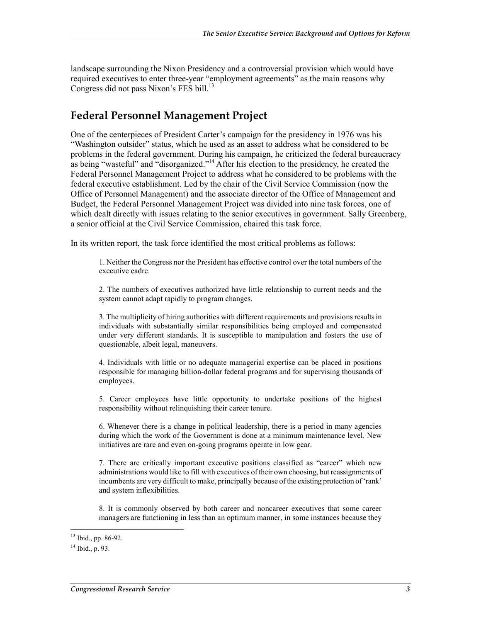landscape surrounding the Nixon Presidency and a controversial provision which would have required executives to enter three-year "employment agreements" as the main reasons why Congress did not pass Nixon's FES bill.<sup>13</sup>

#### **Federal Personnel Management Project**

One of the centerpieces of President Carter's campaign for the presidency in 1976 was his "Washington outsider" status, which he used as an asset to address what he considered to be problems in the federal government. During his campaign, he criticized the federal bureaucracy as being "wasteful" and "disorganized."<sup>14</sup> After his election to the presidency, he created the Federal Personnel Management Project to address what he considered to be problems with the federal executive establishment. Led by the chair of the Civil Service Commission (now the Office of Personnel Management) and the associate director of the Office of Management and Budget, the Federal Personnel Management Project was divided into nine task forces, one of which dealt directly with issues relating to the senior executives in government. Sally Greenberg, a senior official at the Civil Service Commission, chaired this task force.

In its written report, the task force identified the most critical problems as follows:

1. Neither the Congress nor the President has effective control over the total numbers of the executive cadre.

2. The numbers of executives authorized have little relationship to current needs and the system cannot adapt rapidly to program changes.

3. The multiplicity of hiring authorities with different requirements and provisions results in individuals with substantially similar responsibilities being employed and compensated under very different standards. It is susceptible to manipulation and fosters the use of questionable, albeit legal, maneuvers.

4. Individuals with little or no adequate managerial expertise can be placed in positions responsible for managing billion-dollar federal programs and for supervising thousands of employees.

5. Career employees have little opportunity to undertake positions of the highest responsibility without relinquishing their career tenure.

6. Whenever there is a change in political leadership, there is a period in many agencies during which the work of the Government is done at a minimum maintenance level. New initiatives are rare and even on-going programs operate in low gear.

7. There are critically important executive positions classified as "career" which new administrations would like to fill with executives of their own choosing, but reassignments of incumbents are very difficult to make, principally because of the existing protection of 'rank' and system inflexibilities.

8. It is commonly observed by both career and noncareer executives that some career managers are functioning in less than an optimum manner, in some instances because they

<sup>1</sup> <sup>13</sup> Ibid., pp. 86-92.

 $14$  Ibid., p. 93.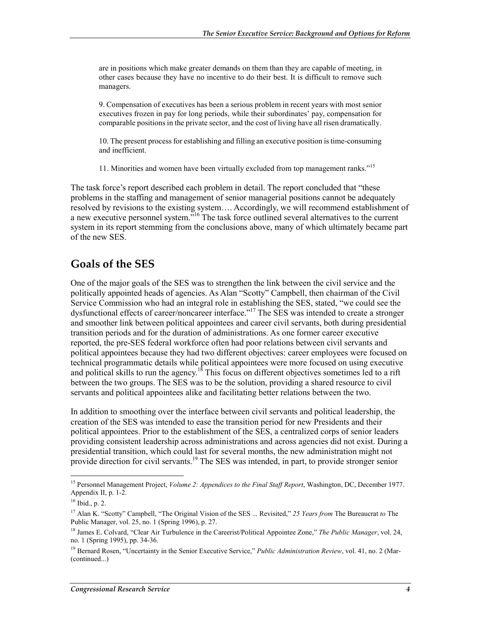are in positions which make greater demands on them than they are capable of meeting, in other cases because they have no incentive to do their best. It is difficult to remove such managers.

9. Compensation of executives has been a serious problem in recent years with most senior executives frozen in pay for long periods, while their subordinates' pay, compensation for comparable positions in the private sector, and the cost of living have all risen dramatically.

10. The present process for establishing and filling an executive position is time-consuming and inefficient.

11. Minorities and women have been virtually excluded from top management ranks."<sup>15</sup>

The task force's report described each problem in detail. The report concluded that "these problems in the staffing and management of senior managerial positions cannot be adequately resolved by revisions to the existing system…. Accordingly, we will recommend establishment of a new executive personnel system.<sup>"16</sup> The task force outlined several alternatives to the current system in its report stemming from the conclusions above, many of which ultimately became part of the new SES.

#### **Goals of the SES**

One of the major goals of the SES was to strengthen the link between the civil service and the politically appointed heads of agencies. As Alan "Scotty" Campbell, then chairman of the Civil Service Commission who had an integral role in establishing the SES, stated, "we could see the dysfunctional effects of career/noncareer interface."<sup>17</sup> The SES was intended to create a stronger and smoother link between political appointees and career civil servants, both during presidential transition periods and for the duration of administrations. As one former career executive reported, the pre-SES federal workforce often had poor relations between civil servants and political appointees because they had two different objectives: career employees were focused on technical programmatic details while political appointees were more focused on using executive and political skills to run the agency.<sup>18</sup> This focus on different objectives sometimes led to a rift between the two groups. The SES was to be the solution, providing a shared resource to civil servants and political appointees alike and facilitating better relations between the two.

In addition to smoothing over the interface between civil servants and political leadership, the creation of the SES was intended to ease the transition period for new Presidents and their political appointees. Prior to the establishment of the SES, a centralized corps of senior leaders providing consistent leadership across administrations and across agencies did not exist. During a presidential transition, which could last for several months, the new administration might not provide direction for civil servants.<sup>19</sup> The SES was intended, in part, to provide stronger senior

<sup>15</sup> Personnel Management Project, *Volume 2: Appendices to the Final Staff Report*, Washington, DC, December 1977. Appendix II, p. 1-2.

<sup>16</sup> Ibid., p. 2.

<sup>17</sup> Alan K. "Scotty" Campbell, "The Original Vision of the SES ... Revisited," *25 Years from* The Bureaucrat *to* The Public Manager, vol. 25, no. 1 (Spring 1996), p. 27.

<sup>18</sup> James E. Colvard, "Clear Air Turbulence in the Careerist/Political Appointee Zone," *The Public Manager*, vol. 24, no. 1 (Spring 1995), pp. 34-36.

<sup>19</sup> Bernard Rosen, "Uncertainty in the Senior Executive Service," *Public Administration Review*, vol. 41, no. 2 (Mar- (continued...)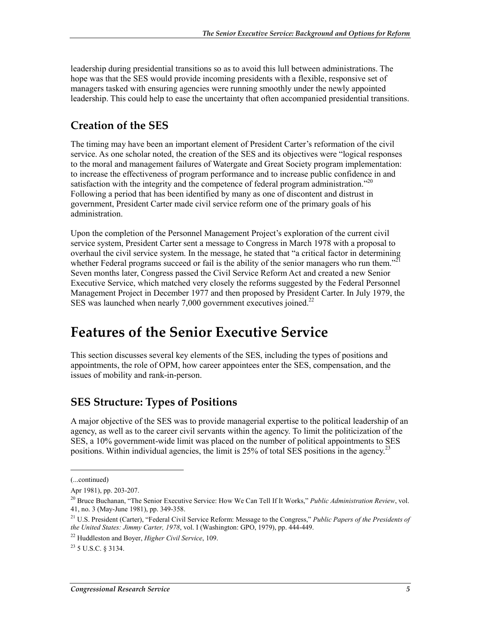leadership during presidential transitions so as to avoid this lull between administrations. The hope was that the SES would provide incoming presidents with a flexible, responsive set of managers tasked with ensuring agencies were running smoothly under the newly appointed leadership. This could help to ease the uncertainty that often accompanied presidential transitions.

#### **Creation of the SES**

The timing may have been an important element of President Carter's reformation of the civil service. As one scholar noted, the creation of the SES and its objectives were "logical responses to the moral and management failures of Watergate and Great Society program implementation: to increase the effectiveness of program performance and to increase public confidence in and satisfaction with the integrity and the competence of federal program administration.<sup> $20$ </sup> Following a period that has been identified by many as one of discontent and distrust in government, President Carter made civil service reform one of the primary goals of his administration.

Upon the completion of the Personnel Management Project's exploration of the current civil service system, President Carter sent a message to Congress in March 1978 with a proposal to overhaul the civil service system. In the message, he stated that "a critical factor in determining whether Federal programs succeed or fail is the ability of the senior managers who run them."<sup>21</sup> Seven months later, Congress passed the Civil Service Reform Act and created a new Senior Executive Service, which matched very closely the reforms suggested by the Federal Personnel Management Project in December 1977 and then proposed by President Carter. In July 1979, the SES was launched when nearly  $7,000$  government executives joined.<sup>22</sup>

## **Features of the Senior Executive Service**

This section discusses several key elements of the SES, including the types of positions and appointments, the role of OPM, how career appointees enter the SES, compensation, and the issues of mobility and rank-in-person.

#### **SES Structure: Types of Positions**

A major objective of the SES was to provide managerial expertise to the political leadership of an agency, as well as to the career civil servants within the agency. To limit the politicization of the SES, a 10% government-wide limit was placed on the number of political appointments to SES positions. Within individual agencies, the limit is  $25\%$  of total SES positions in the agency.<sup>23</sup>

<sup>(...</sup>continued)

Apr 1981), pp. 203-207.

<sup>20</sup> Bruce Buchanan, "The Senior Executive Service: How We Can Tell If It Works," *Public Administration Review*, vol. 41, no. 3 (May-June 1981), pp. 349-358.

<sup>21</sup> U.S. President (Carter), "Federal Civil Service Reform: Message to the Congress," *Public Papers of the Presidents of the United States: Jimmy Carter, 1978*, vol. I (Washington: GPO, 1979), pp. 444-449.

<sup>22</sup> Huddleston and Boyer, *Higher Civil Service*, 109.

 $^{23}$  5 U.S.C. 8 3134.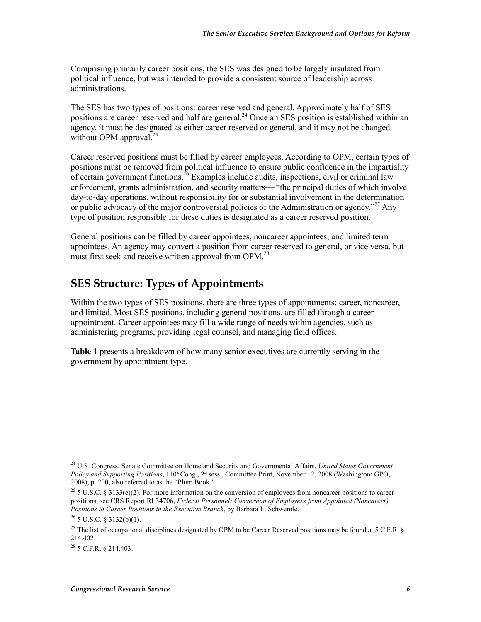Comprising primarily career positions, the SES was designed to be largely insulated from political influence, but was intended to provide a consistent source of leadership across administrations.

The SES has two types of positions: career reserved and general. Approximately half of SES positions are career reserved and half are general.<sup>24</sup> Once an SES position is established within an agency, it must be designated as either career reserved or general, and it may not be changed without OPM approval. $^{25}$ 

Career reserved positions must be filled by career employees. According to OPM, certain types of positions must be removed from political influence to ensure public confidence in the impartiality of certain government functions. <sup>26</sup> Examples include audits, inspections, civil or criminal law enforcement, grants administration, and security matters— "the principal duties of which involve day-to-day operations, without responsibility for or substantial involvement in the determination or public advocacy of the major controversial policies of the Administration or agency.<sup> $27$ </sup> Any type of position responsible for these duties is designated as a career reserved position.

General positions can be filled by career appointees, noncareer appointees, and limited term appointees. An agency may convert a position from career reserved to general, or vice versa, but must first seek and receive written approval from OPM.<sup>28</sup>

#### **SES Structure: Types of Appointments**

Within the two types of SES positions, there are three types of appointments: career, noncareer, and limited. Most SES positions, including general positions, are filled through a career appointment. Career appointees may fill a wide range of needs within agencies, such as administering programs, providing legal counsel, and managing field offices.

**Table 1** presents a breakdown of how many senior executives are currently serving in the government by appointment type.

<sup>24</sup> U.S. Congress, Senate Committee on Homeland Security and Governmental Affairs, *United States Government Policy and Supporting Positions*, 110<sup>th</sup> Cong., 2<sup>nd</sup> sess., Committee Print, November 12, 2008 (Washington: GPO, 2008), p. 200, also referred to as the "Plum Book."

<sup>&</sup>lt;sup>25</sup> 5 U.S.C. § 3133(e)(2). For more information on the conversion of employees from noncareer positions to career positions, see CRS Report RL34706, *Federal Personnel: Conversion of Employees from Appointed (Noncareer) Positions to Career Positions in the Executive Branch*, by Barbara L. Schwemle.

 $26$  5 U.S.C. § 3132(b)(1).

<sup>&</sup>lt;sup>27</sup> The list of occupational disciplines designated by OPM to be Career Reserved positions may be found at 5 C.F.R. § 214.402.

<sup>28 5</sup> C.F.R. § 214.403.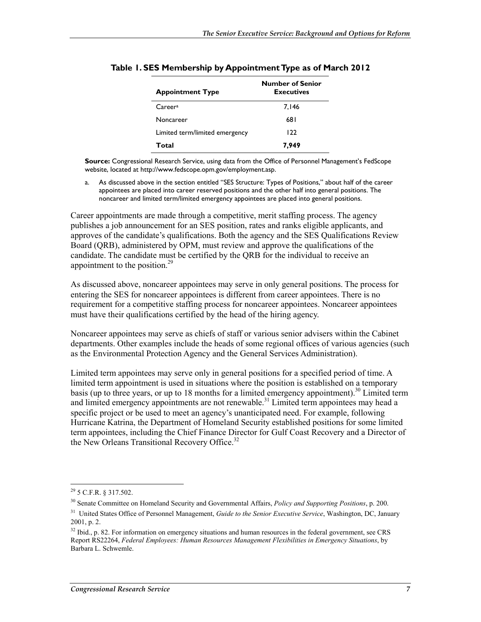| <b>Appointment Type</b>        | <b>Number of Senior</b><br><b>Executives</b> |  |
|--------------------------------|----------------------------------------------|--|
| Careera                        | 7,146                                        |  |
| Noncareer                      | 681                                          |  |
| Limited term/limited emergency | 122                                          |  |
| Total                          | 7,949                                        |  |

#### **Table 1. SES Membership by Appointment Type as of March 2012**

**Source:** Congressional Research Service, using data from the Office of Personnel Management's FedScope website, located at http://www.fedscope.opm.gov/employment.asp.

a. As discussed above in the section entitled "SES Structure: Types of Positions," about half of the career appointees are placed into career reserved positions and the other half into general positions. The noncareer and limited term/limited emergency appointees are placed into general positions.

Career appointments are made through a competitive, merit staffing process. The agency publishes a job announcement for an SES position, rates and ranks eligible applicants, and approves of the candidate's qualifications. Both the agency and the SES Qualifications Review Board (QRB), administered by OPM, must review and approve the qualifications of the candidate. The candidate must be certified by the QRB for the individual to receive an appointment to the position. $^{29}$ 

As discussed above, noncareer appointees may serve in only general positions. The process for entering the SES for noncareer appointees is different from career appointees. There is no requirement for a competitive staffing process for noncareer appointees. Noncareer appointees must have their qualifications certified by the head of the hiring agency.

Noncareer appointees may serve as chiefs of staff or various senior advisers within the Cabinet departments. Other examples include the heads of some regional offices of various agencies (such as the Environmental Protection Agency and the General Services Administration).

Limited term appointees may serve only in general positions for a specified period of time. A limited term appointment is used in situations where the position is established on a temporary basis (up to three years, or up to 18 months for a limited emergency appointment).<sup>30</sup> Limited term and limited emergency appointments are not renewable.<sup>31</sup> Limited term appointees may head a specific project or be used to meet an agency's unanticipated need. For example, following Hurricane Katrina, the Department of Homeland Security established positions for some limited term appointees, including the Chief Finance Director for Gulf Coast Recovery and a Director of the New Orleans Transitional Recovery Office.<sup>32</sup>

 $^{29}$  5 C.F.R. § 317.502.

<sup>30</sup> Senate Committee on Homeland Security and Governmental Affairs, *Policy and Supporting Positions*, p. 200.

<sup>&</sup>lt;sup>31</sup> United States Office of Personnel Management, *Guide to the Senior Executive Service*, Washington, DC, January 2001, p. 2.

<sup>&</sup>lt;sup>32</sup> Ibid., p. 82. For information on emergency situations and human resources in the federal government, see CRS Report RS22264, *Federal Employees: Human Resources Management Flexibilities in Emergency Situations*, by Barbara L. Schwemle.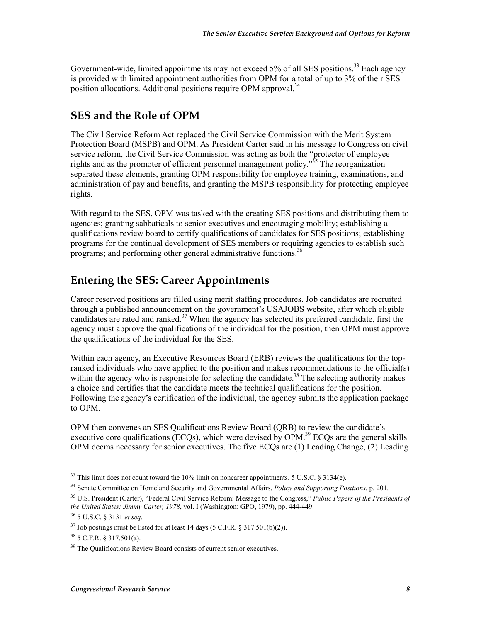Government-wide, limited appointments may not exceed 5% of all SES positions.<sup>33</sup> Each agency is provided with limited appointment authorities from OPM for a total of up to 3% of their SES position allocations. Additional positions require OPM approval.<sup>34</sup>

### **SES and the Role of OPM**

The Civil Service Reform Act replaced the Civil Service Commission with the Merit System Protection Board (MSPB) and OPM. As President Carter said in his message to Congress on civil service reform, the Civil Service Commission was acting as both the "protector of employee rights and as the promoter of efficient personnel management policy.<sup>355</sup> The reorganization separated these elements, granting OPM responsibility for employee training, examinations, and administration of pay and benefits, and granting the MSPB responsibility for protecting employee rights.

With regard to the SES, OPM was tasked with the creating SES positions and distributing them to agencies; granting sabbaticals to senior executives and encouraging mobility; establishing a qualifications review board to certify qualifications of candidates for SES positions; establishing programs for the continual development of SES members or requiring agencies to establish such programs; and performing other general administrative functions.<sup>36</sup>

### **Entering the SES: Career Appointments**

Career reserved positions are filled using merit staffing procedures. Job candidates are recruited through a published announcement on the government's USAJOBS website, after which eligible candidates are rated and ranked.<sup>37</sup> When the agency has selected its preferred candidate, first the agency must approve the qualifications of the individual for the position, then OPM must approve the qualifications of the individual for the SES.

Within each agency, an Executive Resources Board (ERB) reviews the qualifications for the topranked individuals who have applied to the position and makes recommendations to the official(s) within the agency who is responsible for selecting the candidate.<sup>38</sup> The selecting authority makes a choice and certifies that the candidate meets the technical qualifications for the position. Following the agency's certification of the individual, the agency submits the application package to OPM.

OPM then convenes an SES Qualifications Review Board (QRB) to review the candidate's executive core qualifications (ECQs), which were devised by  $OPM<sup>39</sup>$  ECQs are the general skills OPM deems necessary for senior executives. The five ECQs are (1) Leading Change, (2) Leading

 $33$  This limit does not count toward the 10% limit on noncareer appointments. 5 U.S.C. § 3134(e).

<sup>34</sup> Senate Committee on Homeland Security and Governmental Affairs, *Policy and Supporting Positions*, p. 201.

<sup>35</sup> U.S. President (Carter), "Federal Civil Service Reform: Message to the Congress," *Public Papers of the Presidents of the United States: Jimmy Carter, 1978*, vol. I (Washington: GPO, 1979), pp. 444-449.

<sup>36 5</sup> U.S.C. § 3131 *et seq*.

 $37$  Job postings must be listed for at least 14 days (5 C.F.R. § 317.501(b)(2)).

 $38\,5$  C.F.R.  $8\,317.501(a)$ .

<sup>&</sup>lt;sup>39</sup> The Qualifications Review Board consists of current senior executives.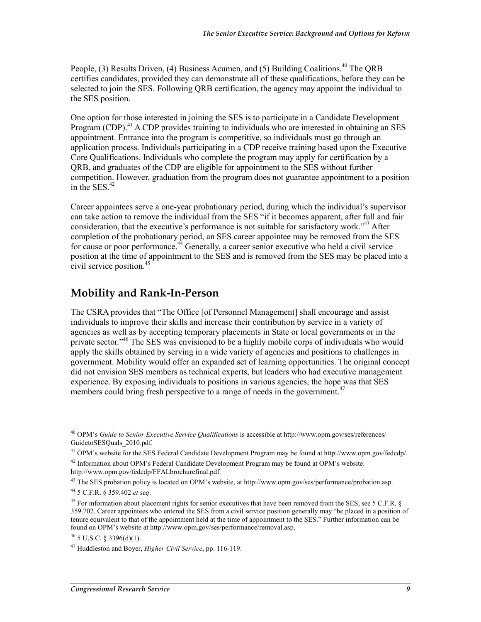People, (3) Results Driven, (4) Business Acumen, and (5) Building Coalitions.<sup>40</sup> The ORB certifies candidates, provided they can demonstrate all of these qualifications, before they can be selected to join the SES. Following QRB certification, the agency may appoint the individual to the SES position.

One option for those interested in joining the SES is to participate in a Candidate Development Program (CDP).<sup>41</sup> A CDP provides training to individuals who are interested in obtaining an SES appointment. Entrance into the program is competitive, so individuals must go through an application process. Individuals participating in a CDP receive training based upon the Executive Core Qualifications. Individuals who complete the program may apply for certification by a QRB, and graduates of the CDP are eligible for appointment to the SES without further competition. However, graduation from the program does not guarantee appointment to a position in the SES.<sup>42</sup>

Career appointees serve a one-year probationary period, during which the individual's supervisor can take action to remove the individual from the SES "if it becomes apparent, after full and fair consideration, that the executive's performance is not suitable for satisfactory work."43 After completion of the probationary period, an SES career appointee may be removed from the SES for cause or poor performance.<sup>44</sup> Generally, a career senior executive who held a civil service position at the time of appointment to the SES and is removed from the SES may be placed into a civil service position.<sup>45</sup>

#### **Mobility and Rank-In-Person**

The CSRA provides that "The Office [of Personnel Management] shall encourage and assist individuals to improve their skills and increase their contribution by service in a variety of agencies as well as by accepting temporary placements in State or local governments or in the private sector.<sup>46</sup> The SES was envisioned to be a highly mobile corps of individuals who would apply the skills obtained by serving in a wide variety of agencies and positions to challenges in government. Mobility would offer an expanded set of learning opportunities. The original concept did not envision SES members as technical experts, but leaders who had executive management experience. By exposing individuals to positions in various agencies, the hope was that SES members could bring fresh perspective to a range of needs in the government.<sup>47</sup>

<u>.</u>

<sup>40</sup> OPM's *Guide to Senior Executive Service Qualifications* is accessible at http://www.opm.gov/ses/references/ GuidetoSESQuals\_2010.pdf.

<sup>&</sup>lt;sup>41</sup> OPM's website for the SES Federal Candidate Development Program may be found at http://www.opm.gov/fedcdp/.

 $42$  Information about OPM's Federal Candidate Development Program may be found at OPM's website: http://www.opm.gov/fedcdp/FFALbrochurefinal.pdf.

<sup>43</sup> The SES probation policy is located on OPM's website, at http://www.opm.gov/ses/performance/probation.asp.

<sup>44 5</sup> C.F.R. § 359.402 *et seq*.

<sup>&</sup>lt;sup>45</sup> For information about placement rights for senior executives that have been removed from the SES, see 5 C.F.R. § 359.702. Career appointees who entered the SES from a civil service position generally may "be placed in a position of tenure equivalent to that of the appointment held at the time of appointment to the SES." Further information can be found on OPM's website at http://www.opm.gov/ses/performance/removal.asp.

 $^{46}$  5 U.S.C. § 3396(d)(1).

<sup>47</sup> Huddleston and Boyer, *Higher Civil Service*, pp. 116-119.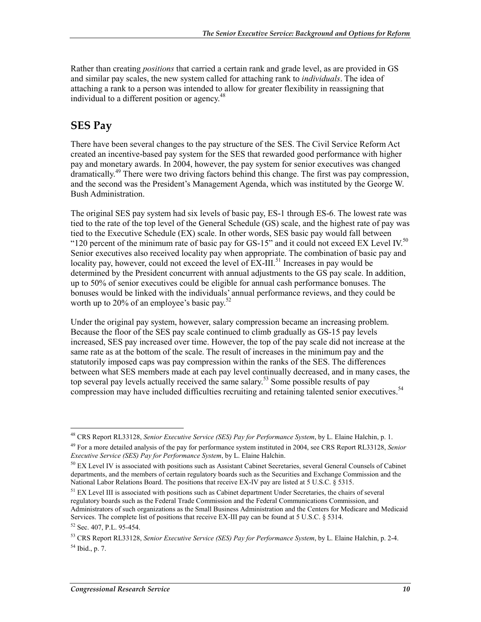Rather than creating *positions* that carried a certain rank and grade level, as are provided in GS and similar pay scales, the new system called for attaching rank to *individuals*. The idea of attaching a rank to a person was intended to allow for greater flexibility in reassigning that individual to a different position or agency.<sup>48</sup>

### **SES Pay**

There have been several changes to the pay structure of the SES. The Civil Service Reform Act created an incentive-based pay system for the SES that rewarded good performance with higher pay and monetary awards. In 2004, however, the pay system for senior executives was changed dramatically.49 There were two driving factors behind this change. The first was pay compression, and the second was the President's Management Agenda, which was instituted by the George W. Bush Administration.

The original SES pay system had six levels of basic pay, ES-1 through ES-6. The lowest rate was tied to the rate of the top level of the General Schedule (GS) scale, and the highest rate of pay was tied to the Executive Schedule (EX) scale. In other words, SES basic pay would fall between "120 percent of the minimum rate of basic pay for GS-15" and it could not exceed EX Level IV.<sup>50</sup> Senior executives also received locality pay when appropriate. The combination of basic pay and locality pay, however, could not exceed the level of  $\widetilde{EX}\text{-III}$ .<sup>51</sup> Increases in pay would be determined by the President concurrent with annual adjustments to the GS pay scale. In addition, up to 50% of senior executives could be eligible for annual cash performance bonuses. The bonuses would be linked with the individuals' annual performance reviews, and they could be worth up to 20% of an employee's basic pay. $52$ 

Under the original pay system, however, salary compression became an increasing problem. Because the floor of the SES pay scale continued to climb gradually as GS-15 pay levels increased, SES pay increased over time. However, the top of the pay scale did not increase at the same rate as at the bottom of the scale. The result of increases in the minimum pay and the statutorily imposed caps was pay compression within the ranks of the SES. The differences between what SES members made at each pay level continually decreased, and in many cases, the top several pay levels actually received the same salary.<sup>53</sup> Some possible results of pay compression may have included difficulties recruiting and retaining talented senior executives.<sup>54</sup>

<u>.</u>

<sup>48</sup> CRS Report RL33128, *Senior Executive Service (SES) Pay for Performance System*, by L. Elaine Halchin, p. 1.

<sup>49</sup> For a more detailed analysis of the pay for performance system instituted in 2004, see CRS Report RL33128, *Senior Executive Service (SES) Pay for Performance System*, by L. Elaine Halchin.

 $50$  EX Level IV is associated with positions such as Assistant Cabinet Secretaries, several General Counsels of Cabinet departments, and the members of certain regulatory boards such as the Securities and Exchange Commission and the National Labor Relations Board. The positions that receive EX-IV pay are listed at 5 U.S.C. § 5315.

<sup>&</sup>lt;sup>51</sup> EX Level III is associated with positions such as Cabinet department Under Secretaries, the chairs of several regulatory boards such as the Federal Trade Commission and the Federal Communications Commission, and Administrators of such organizations as the Small Business Administration and the Centers for Medicare and Medicaid Services. The complete list of positions that receive EX-III pay can be found at 5 U.S.C. § 5314.

<sup>52</sup> Sec. 407, P.L. 95-454.

<sup>53</sup> CRS Report RL33128, *Senior Executive Service (SES) Pay for Performance System*, by L. Elaine Halchin, p. 2-4.  $54$  Ibid., p. 7.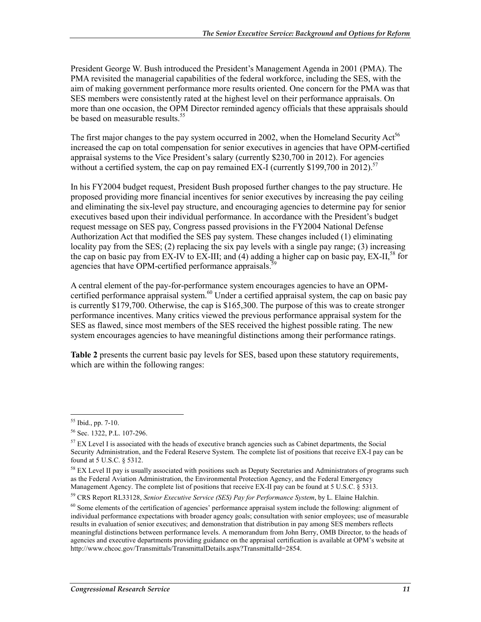President George W. Bush introduced the President's Management Agenda in 2001 (PMA). The PMA revisited the managerial capabilities of the federal workforce, including the SES, with the aim of making government performance more results oriented. One concern for the PMA was that SES members were consistently rated at the highest level on their performance appraisals. On more than one occasion, the OPM Director reminded agency officials that these appraisals should be based on measurable results.<sup>55</sup>

The first major changes to the pay system occurred in 2002, when the Homeland Security  $Act<sup>56</sup>$ increased the cap on total compensation for senior executives in agencies that have OPM-certified appraisal systems to the Vice President's salary (currently \$230,700 in 2012). For agencies without a certified system, the cap on pay remained EX-I (currently \$199,700 in 2012).<sup>57</sup>

In his FY2004 budget request, President Bush proposed further changes to the pay structure. He proposed providing more financial incentives for senior executives by increasing the pay ceiling and eliminating the six-level pay structure, and encouraging agencies to determine pay for senior executives based upon their individual performance. In accordance with the President's budget request message on SES pay, Congress passed provisions in the FY2004 National Defense Authorization Act that modified the SES pay system. These changes included (1) eliminating locality pay from the SES; (2) replacing the six pay levels with a single pay range; (3) increasing the cap on basic pay from EX-IV to EX-III; and (4) adding a higher cap on basic pay, EX-II,<sup>58</sup> for agencies that have OPM-certified performance appraisals.<sup>5</sup>

A central element of the pay-for-performance system encourages agencies to have an OPMcertified performance appraisal system. $60$  Under a certified appraisal system, the cap on basic pay is currently \$179,700. Otherwise, the cap is \$165,300. The purpose of this was to create stronger performance incentives. Many critics viewed the previous performance appraisal system for the SES as flawed, since most members of the SES received the highest possible rating. The new system encourages agencies to have meaningful distinctions among their performance ratings.

**Table 2** presents the current basic pay levels for SES, based upon these statutory requirements, which are within the following ranges:

<sup>55</sup> Ibid., pp. 7-10.

<sup>56</sup> Sec. 1322, P.L. 107-296.

<sup>&</sup>lt;sup>57</sup> EX Level I is associated with the heads of executive branch agencies such as Cabinet departments, the Social Security Administration, and the Federal Reserve System. The complete list of positions that receive EX-I pay can be found at 5 U.S.C. § 5312.

<sup>&</sup>lt;sup>58</sup> EX Level II pay is usually associated with positions such as Deputy Secretaries and Administrators of programs such as the Federal Aviation Administration, the Environmental Protection Agency, and the Federal Emergency Management Agency. The complete list of positions that receive EX-II pay can be found at 5 U.S.C. § 5313.

<sup>59</sup> CRS Report RL33128, *Senior Executive Service (SES) Pay for Performance System*, by L. Elaine Halchin.

<sup>&</sup>lt;sup>60</sup> Some elements of the certification of agencies' performance appraisal system include the following: alignment of individual performance expectations with broader agency goals; consultation with senior employees; use of measurable results in evaluation of senior executives; and demonstration that distribution in pay among SES members reflects meaningful distinctions between performance levels. A memorandum from John Berry, OMB Director, to the heads of agencies and executive departments providing guidance on the appraisal certification is available at OPM's website at http://www.chcoc.gov/Transmittals/TransmittalDetails.aspx?TransmittalId=2854.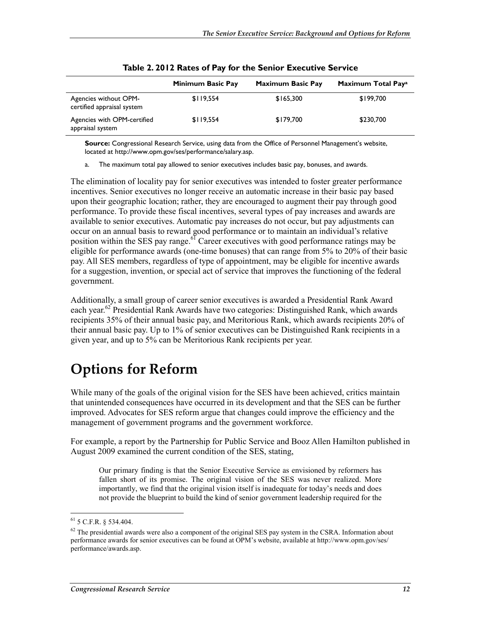|                                                     | Minimum Basic Pay | <b>Maximum Basic Pay</b> | Maximum Total Paya |
|-----------------------------------------------------|-------------------|--------------------------|--------------------|
| Agencies without OPM-<br>certified appraisal system | \$119,554         | \$165,300                | \$199,700          |
| Agencies with OPM-certified<br>appraisal system     | \$119,554         | \$179.700                | \$230,700          |

|  |  | Table 2. 2012 Rates of Pay for the Senior Executive Service |
|--|--|-------------------------------------------------------------|
|--|--|-------------------------------------------------------------|

**Source:** Congressional Research Service, using data from the Office of Personnel Management's website, located at http://www.opm.gov/ses/performance/salary.asp.

a. The maximum total pay allowed to senior executives includes basic pay, bonuses, and awards.

The elimination of locality pay for senior executives was intended to foster greater performance incentives. Senior executives no longer receive an automatic increase in their basic pay based upon their geographic location; rather, they are encouraged to augment their pay through good performance. To provide these fiscal incentives, several types of pay increases and awards are available to senior executives. Automatic pay increases do not occur, but pay adjustments can occur on an annual basis to reward good performance or to maintain an individual's relative position within the SES pay range.<sup>61</sup> Career executives with good performance ratings may be eligible for performance awards (one-time bonuses) that can range from 5% to 20% of their basic pay. All SES members, regardless of type of appointment, may be eligible for incentive awards for a suggestion, invention, or special act of service that improves the functioning of the federal government.

Additionally, a small group of career senior executives is awarded a Presidential Rank Award each year.<sup>62</sup> Presidential Rank Awards have two categories: Distinguished Rank, which awards recipients 35% of their annual basic pay, and Meritorious Rank, which awards recipients 20% of their annual basic pay. Up to 1% of senior executives can be Distinguished Rank recipients in a given year, and up to 5% can be Meritorious Rank recipients per year.

# **Options for Reform**

While many of the goals of the original vision for the SES have been achieved, critics maintain that unintended consequences have occurred in its development and that the SES can be further improved. Advocates for SES reform argue that changes could improve the efficiency and the management of government programs and the government workforce.

For example, a report by the Partnership for Public Service and Booz Allen Hamilton published in August 2009 examined the current condition of the SES, stating,

Our primary finding is that the Senior Executive Service as envisioned by reformers has fallen short of its promise. The original vision of the SES was never realized. More importantly, we find that the original vision itself is inadequate for today's needs and does not provide the blueprint to build the kind of senior government leadership required for the

 $61$  5 C.F.R. § 534.404.

 $62$  The presidential awards were also a component of the original SES pay system in the CSRA. Information about performance awards for senior executives can be found at OPM's website, available at http://www.opm.gov/ses/ performance/awards.asp.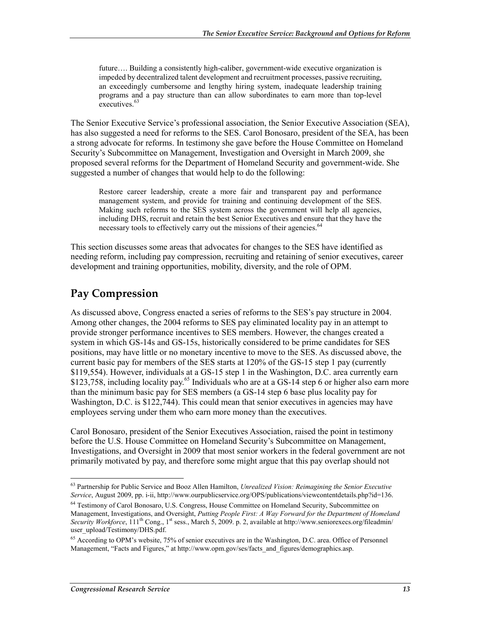future…. Building a consistently high-caliber, government-wide executive organization is impeded by decentralized talent development and recruitment processes, passive recruiting, an exceedingly cumbersome and lengthy hiring system, inadequate leadership training programs and a pay structure than can allow subordinates to earn more than top-level executives.<sup>63</sup>

The Senior Executive Service's professional association, the Senior Executive Association (SEA), has also suggested a need for reforms to the SES. Carol Bonosaro, president of the SEA, has been a strong advocate for reforms. In testimony she gave before the House Committee on Homeland Security's Subcommittee on Management, Investigation and Oversight in March 2009, she proposed several reforms for the Department of Homeland Security and government-wide. She suggested a number of changes that would help to do the following:

Restore career leadership, create a more fair and transparent pay and performance management system, and provide for training and continuing development of the SES. Making such reforms to the SES system across the government will help all agencies, including DHS, recruit and retain the best Senior Executives and ensure that they have the necessary tools to effectively carry out the missions of their agencies.<sup>64</sup>

This section discusses some areas that advocates for changes to the SES have identified as needing reform, including pay compression, recruiting and retaining of senior executives, career development and training opportunities, mobility, diversity, and the role of OPM.

#### **Pay Compression**

As discussed above, Congress enacted a series of reforms to the SES's pay structure in 2004. Among other changes, the 2004 reforms to SES pay eliminated locality pay in an attempt to provide stronger performance incentives to SES members. However, the changes created a system in which GS-14s and GS-15s, historically considered to be prime candidates for SES positions, may have little or no monetary incentive to move to the SES. As discussed above, the current basic pay for members of the SES starts at 120% of the GS-15 step 1 pay (currently \$119,554). However, individuals at a GS-15 step 1 in the Washington, D.C. area currently earn \$123,758, including locality pay.<sup>65</sup> Individuals who are at a GS-14 step 6 or higher also earn more than the minimum basic pay for SES members (a GS-14 step 6 base plus locality pay for Washington, D.C. is \$122,744). This could mean that senior executives in agencies may have employees serving under them who earn more money than the executives.

Carol Bonosaro, president of the Senior Executives Association, raised the point in testimony before the U.S. House Committee on Homeland Security's Subcommittee on Management, Investigations, and Oversight in 2009 that most senior workers in the federal government are not primarily motivated by pay, and therefore some might argue that this pay overlap should not

<sup>63</sup> Partnership for Public Service and Booz Allen Hamilton, *Unrealized Vision: Reimagining the Senior Executive Service*, August 2009, pp. i-ii, http://www.ourpublicservice.org/OPS/publications/viewcontentdetails.php?id=136.

<sup>&</sup>lt;sup>64</sup> Testimony of Carol Bonosaro, U.S. Congress, House Committee on Homeland Security, Subcommittee on Management, Investigations, and Oversight, *Putting People First: A Way Forward for the Department of Homeland Security Workforce*, 11<sup>th</sup> Cong., 1<sup>st</sup> sess., March 5, 2009. p. 2, available at http://www.seniorexecs.org/fileadmin/ user\_upload/Testimony/DHS.pdf.

<sup>&</sup>lt;sup>65</sup> According to OPM's website, 75% of senior executives are in the Washington, D.C. area. Office of Personnel Management, "Facts and Figures," at http://www.opm.gov/ses/facts\_and\_figures/demographics.asp.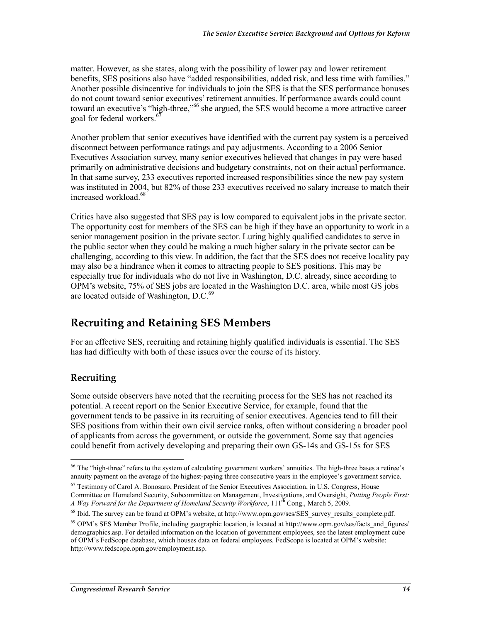matter. However, as she states, along with the possibility of lower pay and lower retirement benefits, SES positions also have "added responsibilities, added risk, and less time with families." Another possible disincentive for individuals to join the SES is that the SES performance bonuses do not count toward senior executives' retirement annuities. If performance awards could count toward an executive's "high-three,"66 she argued, the SES would become a more attractive career goal for federal workers.<sup>67</sup>

Another problem that senior executives have identified with the current pay system is a perceived disconnect between performance ratings and pay adjustments. According to a 2006 Senior Executives Association survey, many senior executives believed that changes in pay were based primarily on administrative decisions and budgetary constraints, not on their actual performance. In that same survey, 233 executives reported increased responsibilities since the new pay system was instituted in 2004, but 82% of those 233 executives received no salary increase to match their increased workload.68

Critics have also suggested that SES pay is low compared to equivalent jobs in the private sector. The opportunity cost for members of the SES can be high if they have an opportunity to work in a senior management position in the private sector. Luring highly qualified candidates to serve in the public sector when they could be making a much higher salary in the private sector can be challenging, according to this view. In addition, the fact that the SES does not receive locality pay may also be a hindrance when it comes to attracting people to SES positions. This may be especially true for individuals who do not live in Washington, D.C. already, since according to OPM's website, 75% of SES jobs are located in the Washington D.C. area, while most GS jobs are located outside of Washington, D.C.<sup>69</sup>

### **Recruiting and Retaining SES Members**

For an effective SES, recruiting and retaining highly qualified individuals is essential. The SES has had difficulty with both of these issues over the course of its history.

#### **Recruiting**

1

Some outside observers have noted that the recruiting process for the SES has not reached its potential. A recent report on the Senior Executive Service, for example, found that the government tends to be passive in its recruiting of senior executives. Agencies tend to fill their SES positions from within their own civil service ranks, often without considering a broader pool of applicants from across the government, or outside the government. Some say that agencies could benefit from actively developing and preparing their own GS-14s and GS-15s for SES

<sup>&</sup>lt;sup>66</sup> The "high-three" refers to the system of calculating government workers' annuities. The high-three bases a retiree's annuity payment on the average of the highest-paying three consecutive years in the employee's government service.

 $67$  Testimony of Carol A. Bonosaro, President of the Senior Executives Association, in U.S. Congress, House Committee on Homeland Security, Subcommittee on Management, Investigations, and Oversight, *Putting People First: A Way Forward for the Department of Homeland Security Workforce*, 111th Cong., March 5, 2009.

<sup>&</sup>lt;sup>68</sup> Ibid. The survey can be found at OPM's website, at http://www.opm.gov/ses/SES\_survey\_results\_complete.pdf.

<sup>&</sup>lt;sup>69</sup> OPM's SES Member Profile, including geographic location, is located at http://www.opm.gov/ses/facts\_and\_figures/ demographics.asp. For detailed information on the location of government employees, see the latest employment cube of OPM's FedScope database, which houses data on federal employees. FedScope is located at OPM's website: http://www.fedscope.opm.gov/employment.asp.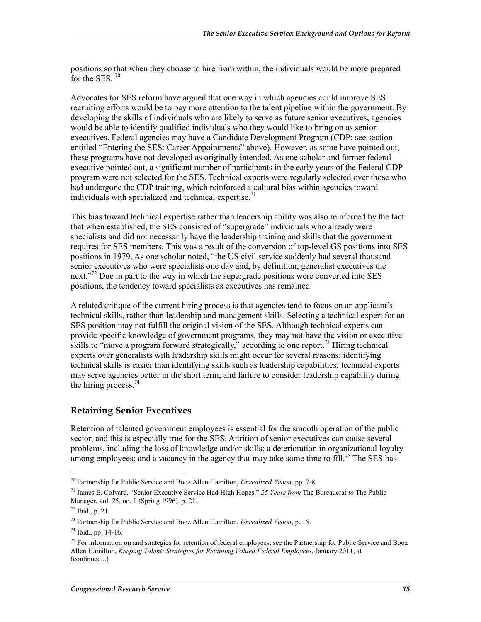positions so that when they choose to hire from within, the individuals would be more prepared for the SES.  $70$ 

Advocates for SES reform have argued that one way in which agencies could improve SES recruiting efforts would be to pay more attention to the talent pipeline within the government. By developing the skills of individuals who are likely to serve as future senior executives, agencies would be able to identify qualified individuals who they would like to bring on as senior executives. Federal agencies may have a Candidate Development Program (CDP; see section entitled "Entering the SES: Career Appointments" above). However, as some have pointed out, these programs have not developed as originally intended. As one scholar and former federal executive pointed out, a significant number of participants in the early years of the Federal CDP program were not selected for the SES. Technical experts were regularly selected over those who had undergone the CDP training, which reinforced a cultural bias within agencies toward individuals with specialized and technical expertise.<sup>71</sup>

This bias toward technical expertise rather than leadership ability was also reinforced by the fact that when established, the SES consisted of "supergrade" individuals who already were specialists and did not necessarily have the leadership training and skills that the government requires for SES members. This was a result of the conversion of top-level GS positions into SES positions in 1979. As one scholar noted, "the US civil service suddenly had several thousand senior executives who were specialists one day and, by definition, generalist executives the next."<sup>72</sup> Due in part to the way in which the supergrade positions were converted into SES positions, the tendency toward specialists as executives has remained.

A related critique of the current hiring process is that agencies tend to focus on an applicant's technical skills, rather than leadership and management skills. Selecting a technical expert for an SES position may not fulfill the original vision of the SES. Although technical experts can provide specific knowledge of government programs, they may not have the vision or executive skills to "move a program forward strategically," according to one report.<sup>73</sup> Hiring technical experts over generalists with leadership skills might occur for several reasons: identifying technical skills is easier than identifying skills such as leadership capabilities; technical experts may serve agencies better in the short term; and failure to consider leadership capability during the hiring process. $74$ 

#### **Retaining Senior Executives**

Retention of talented government employees is essential for the smooth operation of the public sector, and this is especially true for the SES. Attrition of senior executives can cause several problems, including the loss of knowledge and/or skills; a deterioration in organizational loyalty among employees; and a vacancy in the agency that may take some time to fill.<sup>75</sup> The SES has

<sup>70</sup> Partnership for Public Service and Booz Allen Hamilton, *Unrealized Vision,* pp. 7-8.

<sup>71</sup> James E. Colvard, "Senior Executive Service Had High Hopes," *25 Years from* The Bureaucrat *to* The Public Manager, vol. 25, no. 1 (Spring 1996), p. 21.

<sup>72</sup> Ibid., p. 21.

<sup>73</sup> Partnership for Public Service and Booz Allen Hamilton, *Unrealized Vision*, p. 15.

<sup>74</sup> Ibid., pp. 14-16.

 $<sup>75</sup>$  For information on and strategies for retention of federal employees, see the Partnership for Public Service and Booz</sup> Allen Hamilton, *Keeping Talent: Strategies for Retaining Valued Federal Employees*, January 2011, at (continued...)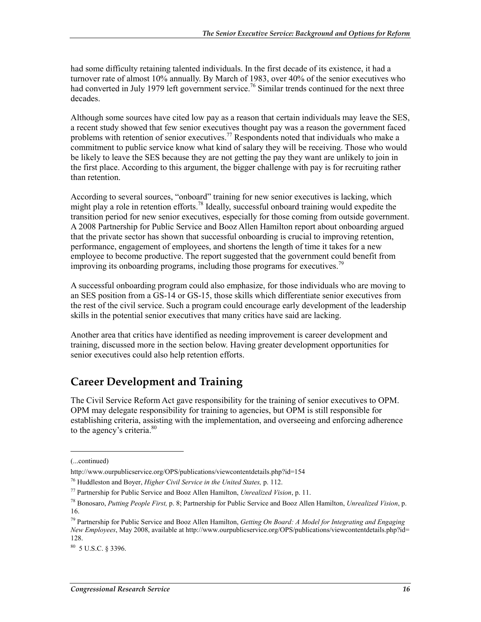had some difficulty retaining talented individuals. In the first decade of its existence, it had a turnover rate of almost 10% annually. By March of 1983, over 40% of the senior executives who had converted in July 1979 left government service.<sup>76</sup> Similar trends continued for the next three decades.

Although some sources have cited low pay as a reason that certain individuals may leave the SES, a recent study showed that few senior executives thought pay was a reason the government faced problems with retention of senior executives.<sup>77</sup> Respondents noted that individuals who make a commitment to public service know what kind of salary they will be receiving. Those who would be likely to leave the SES because they are not getting the pay they want are unlikely to join in the first place. According to this argument, the bigger challenge with pay is for recruiting rather than retention.

According to several sources, "onboard" training for new senior executives is lacking, which might play a role in retention efforts.<sup>78</sup> Ideally, successful onboard training would expedite the transition period for new senior executives, especially for those coming from outside government. A 2008 Partnership for Public Service and Booz Allen Hamilton report about onboarding argued that the private sector has shown that successful onboarding is crucial to improving retention, performance, engagement of employees, and shortens the length of time it takes for a new employee to become productive. The report suggested that the government could benefit from improving its onboarding programs, including those programs for executives.<sup>79</sup>

A successful onboarding program could also emphasize, for those individuals who are moving to an SES position from a GS-14 or GS-15, those skills which differentiate senior executives from the rest of the civil service. Such a program could encourage early development of the leadership skills in the potential senior executives that many critics have said are lacking.

Another area that critics have identified as needing improvement is career development and training, discussed more in the section below. Having greater development opportunities for senior executives could also help retention efforts.

## **Career Development and Training**

The Civil Service Reform Act gave responsibility for the training of senior executives to OPM. OPM may delegate responsibility for training to agencies, but OPM is still responsible for establishing criteria, assisting with the implementation, and overseeing and enforcing adherence to the agency's criteria.<sup>80</sup>

<sup>(...</sup>continued)

http://www.ourpublicservice.org/OPS/publications/viewcontentdetails.php?id=154

<sup>76</sup> Huddleston and Boyer, *Higher Civil Service in the United States,* p. 112.

<sup>77</sup> Partnership for Public Service and Booz Allen Hamilton, *Unrealized Vision*, p. 11.

<sup>78</sup> Bonosaro, *Putting People First,* p. 8; Partnership for Public Service and Booz Allen Hamilton, *Unrealized Vision*, p. 16.

<sup>79</sup> Partnership for Public Service and Booz Allen Hamilton, *Getting On Board: A Model for Integrating and Engaging New Employees*, May 2008, available at http://www.ourpublicservice.org/OPS/publications/viewcontentdetails.php?id= 128.

<sup>80 5</sup> U.S.C. § 3396.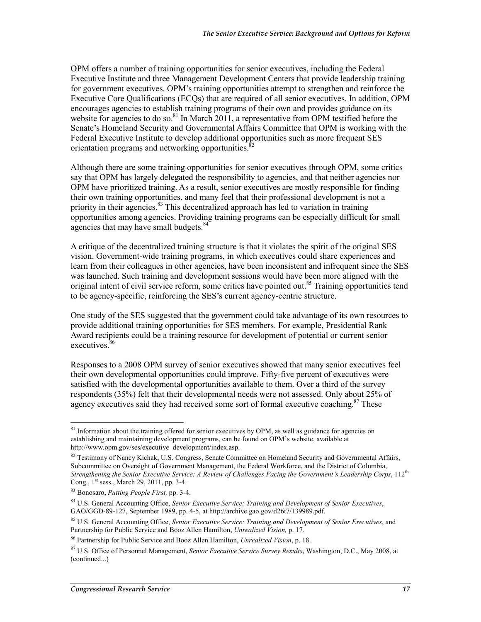OPM offers a number of training opportunities for senior executives, including the Federal Executive Institute and three Management Development Centers that provide leadership training for government executives. OPM's training opportunities attempt to strengthen and reinforce the Executive Core Qualifications (ECQs) that are required of all senior executives. In addition, OPM encourages agencies to establish training programs of their own and provides guidance on its website for agencies to do so.<sup>81</sup> In March 2011, a representative from OPM testified before the Senate's Homeland Security and Governmental Affairs Committee that OPM is working with the Federal Executive Institute to develop additional opportunities such as more frequent SES orientation programs and networking opportunities.<sup>8</sup>

Although there are some training opportunities for senior executives through OPM, some critics say that OPM has largely delegated the responsibility to agencies, and that neither agencies nor OPM have prioritized training. As a result, senior executives are mostly responsible for finding their own training opportunities, and many feel that their professional development is not a priority in their agencies. $83$  This decentralized approach has led to variation in training opportunities among agencies. Providing training programs can be especially difficult for small agencies that may have small budgets.<sup>84</sup>

A critique of the decentralized training structure is that it violates the spirit of the original SES vision. Government-wide training programs, in which executives could share experiences and learn from their colleagues in other agencies, have been inconsistent and infrequent since the SES was launched. Such training and development sessions would have been more aligned with the original intent of civil service reform, some critics have pointed out.<sup>85</sup> Training opportunities tend to be agency-specific, reinforcing the SES's current agency-centric structure.

One study of the SES suggested that the government could take advantage of its own resources to provide additional training opportunities for SES members. For example, Presidential Rank Award recipients could be a training resource for development of potential or current senior executives.<sup>86</sup>

Responses to a 2008 OPM survey of senior executives showed that many senior executives feel their own developmental opportunities could improve. Fifty-five percent of executives were satisfied with the developmental opportunities available to them. Over a third of the survey respondents (35%) felt that their developmental needs were not assessed. Only about 25% of agency executives said they had received some sort of formal executive coaching.<sup>87</sup> These

<sup>&</sup>lt;u>.</u> <sup>81</sup> Information about the training offered for senior executives by OPM, as well as guidance for agencies on establishing and maintaining development programs, can be found on OPM's website, available at http://www.opm.gov/ses/executive\_development/index.asp.

 $82$  Testimony of Nancy Kichak, U.S. Congress, Senate Committee on Homeland Security and Governmental Affairs, Subcommittee on Oversight of Government Management, the Federal Workforce, and the District of Columbia, *Strengthening the Senior Executive Service: A Review of Challenges Facing the Government's Leadership Corps*, 112<sup>th</sup> Cong., 1<sup>st</sup> sess., March 29, 2011, pp. 3-4.

<sup>83</sup> Bonosaro, *Putting People First,* pp. 3-4.

<sup>84</sup> U.S. General Accounting Office, *Senior Executive Service: Training and Development of Senior Executives*, GAO/GGD-89-127, September 1989, pp. 4-5, at http://archive.gao.gov/d26t7/139989.pdf.

<sup>85</sup> U.S. General Accounting Office, *Senior Executive Service: Training and Development of Senior Executives*, and Partnership for Public Service and Booz Allen Hamilton, *Unrealized Vision,* p. 17*.*

<sup>86</sup> Partnership for Public Service and Booz Allen Hamilton, *Unrealized Vision*, p. 18.

<sup>87</sup> U.S. Office of Personnel Management, *Senior Executive Service Survey Results*, Washington, D.C., May 2008, at (continued...)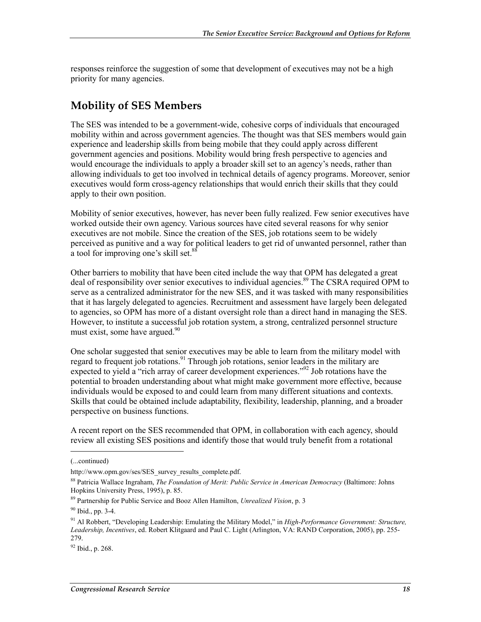responses reinforce the suggestion of some that development of executives may not be a high priority for many agencies.

#### **Mobility of SES Members**

The SES was intended to be a government-wide, cohesive corps of individuals that encouraged mobility within and across government agencies. The thought was that SES members would gain experience and leadership skills from being mobile that they could apply across different government agencies and positions. Mobility would bring fresh perspective to agencies and would encourage the individuals to apply a broader skill set to an agency's needs, rather than allowing individuals to get too involved in technical details of agency programs. Moreover, senior executives would form cross-agency relationships that would enrich their skills that they could apply to their own position.

Mobility of senior executives, however, has never been fully realized. Few senior executives have worked outside their own agency. Various sources have cited several reasons for why senior executives are not mobile. Since the creation of the SES, job rotations seem to be widely perceived as punitive and a way for political leaders to get rid of unwanted personnel, rather than a tool for improving one's skill set.<sup>88</sup>

Other barriers to mobility that have been cited include the way that OPM has delegated a great deal of responsibility over senior executives to individual agencies.<sup>89</sup> The CSRA required OPM to serve as a centralized administrator for the new SES, and it was tasked with many responsibilities that it has largely delegated to agencies. Recruitment and assessment have largely been delegated to agencies, so OPM has more of a distant oversight role than a direct hand in managing the SES. However, to institute a successful job rotation system, a strong, centralized personnel structure must exist, some have argued. $90$ 

One scholar suggested that senior executives may be able to learn from the military model with regard to frequent job rotations.<sup>91</sup> Through job rotations, senior leaders in the military are expected to yield a "rich array of career development experiences."<sup>92</sup> Job rotations have the potential to broaden understanding about what might make government more effective, because individuals would be exposed to and could learn from many different situations and contexts. Skills that could be obtained include adaptability, flexibility, leadership, planning, and a broader perspective on business functions.

A recent report on the SES recommended that OPM, in collaboration with each agency, should review all existing SES positions and identify those that would truly benefit from a rotational

<sup>(...</sup>continued)

http://www.opm.gov/ses/SES\_survey\_results\_complete.pdf.

<sup>88</sup> Patricia Wallace Ingraham, *The Foundation of Merit: Public Service in American Democracy* (Baltimore: Johns Hopkins University Press, 1995), p. 85.

<sup>89</sup> Partnership for Public Service and Booz Allen Hamilton, *Unrealized Vision*, p. 3

 $90$  Ibid., pp. 3-4.

<sup>91</sup> Al Robbert, "Developing Leadership: Emulating the Military Model," in *High-Performance Government: Structure, Leadership, Incentives*, ed. Robert Klitgaard and Paul C. Light (Arlington, VA: RAND Corporation, 2005), pp. 255- 279.

 $92$  Ibid., p. 268.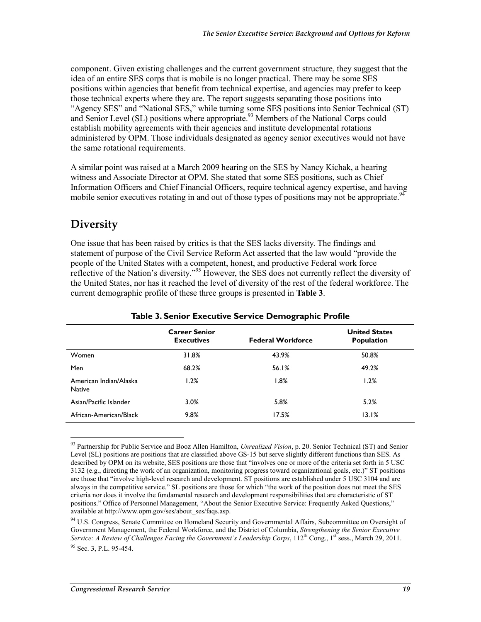component. Given existing challenges and the current government structure, they suggest that the idea of an entire SES corps that is mobile is no longer practical. There may be some SES positions within agencies that benefit from technical expertise, and agencies may prefer to keep those technical experts where they are. The report suggests separating those positions into "Agency SES" and "National SES," while turning some SES positions into Senior Technical (ST) and Senior Level (SL) positions where appropriate.<sup>93</sup> Members of the National Corps could establish mobility agreements with their agencies and institute developmental rotations administered by OPM. Those individuals designated as agency senior executives would not have the same rotational requirements.

A similar point was raised at a March 2009 hearing on the SES by Nancy Kichak, a hearing witness and Associate Director at OPM. She stated that some SES positions, such as Chief Information Officers and Chief Financial Officers, require technical agency expertise, and having mobile senior executives rotating in and out of those types of positions may not be appropriate.<sup>94</sup>

### **Diversity**

<u>.</u>

One issue that has been raised by critics is that the SES lacks diversity. The findings and statement of purpose of the Civil Service Reform Act asserted that the law would "provide the people of the United States with a competent, honest, and productive Federal work force reflective of the Nation's diversity."<sup>95</sup> However, the SES does not currently reflect the diversity of the United States, nor has it reached the level of diversity of the rest of the federal workforce. The current demographic profile of these three groups is presented in **Table 3**.

|                                         | <b>Career Senior</b><br><b>Executives</b> | <b>Federal Workforce</b> | <b>United States</b><br>Population |
|-----------------------------------------|-------------------------------------------|--------------------------|------------------------------------|
| Women                                   | 31.8%                                     | 43.9%                    | 50.8%                              |
| Men                                     | 68.2%                                     | 56.1%                    | 49.2%                              |
| American Indian/Alaska<br><b>Native</b> | 1.2%                                      | 1.8%                     | 1.2%                               |
| Asian/Pacific Islander                  | 3.0%                                      | 5.8%                     | 5.2%                               |
| African-American/Black                  | 9.8%                                      | 17.5%                    | 13.1%                              |

#### **Table 3. Senior Executive Service Demographic Profile**

93 Partnership for Public Service and Booz Allen Hamilton, *Unrealized Vision*, p. 20. Senior Technical (ST) and Senior Level (SL) positions are positions that are classified above GS-15 but serve slightly different functions than SES. As described by OPM on its website, SES positions are those that "involves one or more of the criteria set forth in 5 USC 3132 (e.g., directing the work of an organization, monitoring progress toward organizational goals, etc.)" ST positions are those that "involve high-level research and development. ST positions are established under 5 USC 3104 and are always in the competitive service." SL positions are those for which "the work of the position does not meet the SES criteria nor does it involve the fundamental research and development responsibilities that are characteristic of ST positions." Office of Personnel Management, "About the Senior Executive Service: Frequently Asked Questions," available at http://www.opm.gov/ses/about\_ses/faqs.asp.

<sup>94</sup> U.S. Congress, Senate Committee on Homeland Security and Governmental Affairs, Subcommittee on Oversight of Government Management, the Federal Workforce, and the District of Columbia, *Strengthening the Senior Executive Service: A Review of Challenges Facing the Government's Leadership Corps*, 112<sup>th</sup> Cong., 1<sup>st</sup> sess., March 29, 2011.  $95$  Sec. 3, P.L. 95-454.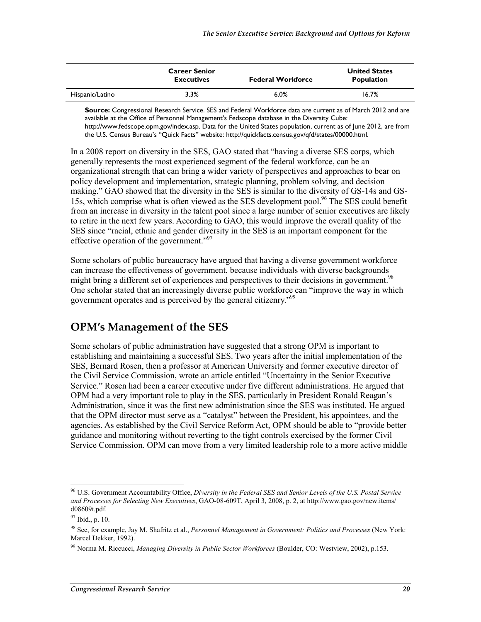|                 | <b>Career Senior</b><br><b>Executives</b> | <b>Federal Workforce</b> | <b>United States</b><br><b>Population</b> |
|-----------------|-------------------------------------------|--------------------------|-------------------------------------------|
| Hispanic/Latino | 3.3%                                      | 6.0%                     | 16.7%                                     |

**Source:** Congressional Research Service. SES and Federal Workforce data are current as of March 2012 and are available at the Office of Personnel Management's Fedscope database in the Diversity Cube: http://www.fedscope.opm.gov/index.asp. Data for the United States population, current as of June 2012, are from the U.S. Census Bureau's "Quick Facts" website: http://quickfacts.census.gov/qfd/states/00000.html.

In a 2008 report on diversity in the SES, GAO stated that "having a diverse SES corps, which generally represents the most experienced segment of the federal workforce, can be an organizational strength that can bring a wider variety of perspectives and approaches to bear on policy development and implementation, strategic planning, problem solving, and decision making." GAO showed that the diversity in the SES is similar to the diversity of GS-14s and GS-15s, which comprise what is often viewed as the SES development pool.<sup>96</sup> The SES could benefit from an increase in diversity in the talent pool since a large number of senior executives are likely to retire in the next few years. According to GAO, this would improve the overall quality of the SES since "racial, ethnic and gender diversity in the SES is an important component for the effective operation of the government."<sup>97</sup>

Some scholars of public bureaucracy have argued that having a diverse government workforce can increase the effectiveness of government, because individuals with diverse backgrounds might bring a different set of experiences and perspectives to their decisions in government.<sup>98</sup> One scholar stated that an increasingly diverse public workforce can "improve the way in which government operates and is perceived by the general citizenry."99

#### **OPM's Management of the SES**

Some scholars of public administration have suggested that a strong OPM is important to establishing and maintaining a successful SES. Two years after the initial implementation of the SES, Bernard Rosen, then a professor at American University and former executive director of the Civil Service Commission, wrote an article entitled "Uncertainty in the Senior Executive Service." Rosen had been a career executive under five different administrations. He argued that OPM had a very important role to play in the SES, particularly in President Ronald Reagan's Administration, since it was the first new administration since the SES was instituted. He argued that the OPM director must serve as a "catalyst" between the President, his appointees, and the agencies. As established by the Civil Service Reform Act, OPM should be able to "provide better guidance and monitoring without reverting to the tight controls exercised by the former Civil Service Commission. OPM can move from a very limited leadership role to a more active middle

<sup>96</sup> U.S. Government Accountability Office, *Diversity in the Federal SES and Senior Levels of the U.S. Postal Service and Processes for Selecting New Executives*, GAO-08-609T, April 3, 2008, p. 2, at http://www.gao.gov/new.items/ d08609t.pdf.

<sup>97</sup> Ibid., p. 10.

<sup>98</sup> See, for example, Jay M. Shafritz et al., *Personnel Management in Government: Politics and Processes* (New York: Marcel Dekker, 1992).

<sup>99</sup> Norma M. Riccucci, *Managing Diversity in Public Sector Workforces* (Boulder, CO: Westview, 2002), p.153.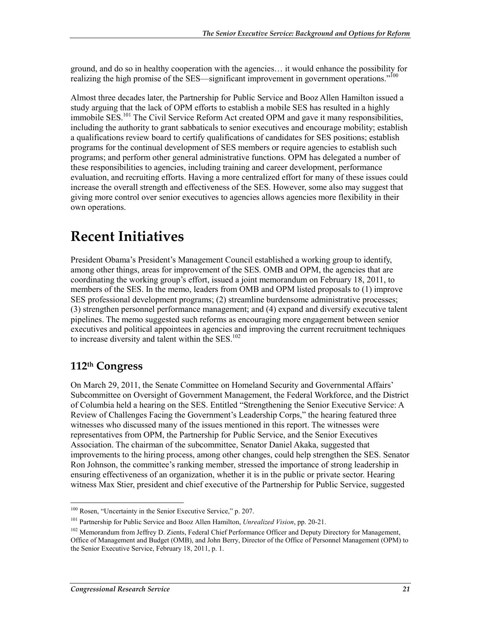ground, and do so in healthy cooperation with the agencies… it would enhance the possibility for realizing the high promise of the SES—significant improvement in government operations."<sup>100</sup>

Almost three decades later, the Partnership for Public Service and Booz Allen Hamilton issued a study arguing that the lack of OPM efforts to establish a mobile SES has resulted in a highly immobile SES.<sup>101</sup> The Civil Service Reform Act created OPM and gave it many responsibilities. including the authority to grant sabbaticals to senior executives and encourage mobility; establish a qualifications review board to certify qualifications of candidates for SES positions; establish programs for the continual development of SES members or require agencies to establish such programs; and perform other general administrative functions. OPM has delegated a number of these responsibilities to agencies, including training and career development, performance evaluation, and recruiting efforts. Having a more centralized effort for many of these issues could increase the overall strength and effectiveness of the SES. However, some also may suggest that giving more control over senior executives to agencies allows agencies more flexibility in their own operations.

# **Recent Initiatives**

President Obama's President's Management Council established a working group to identify, among other things, areas for improvement of the SES. OMB and OPM, the agencies that are coordinating the working group's effort, issued a joint memorandum on February 18, 2011, to members of the SES. In the memo, leaders from OMB and OPM listed proposals to (1) improve SES professional development programs; (2) streamline burdensome administrative processes; (3) strengthen personnel performance management; and (4) expand and diversify executive talent pipelines. The memo suggested such reforms as encouraging more engagement between senior executives and political appointees in agencies and improving the current recruitment techniques to increase diversity and talent within the SES.<sup>102</sup>

### **112th Congress**

On March 29, 2011, the Senate Committee on Homeland Security and Governmental Affairs' Subcommittee on Oversight of Government Management, the Federal Workforce, and the District of Columbia held a hearing on the SES. Entitled "Strengthening the Senior Executive Service: A Review of Challenges Facing the Government's Leadership Corps," the hearing featured three witnesses who discussed many of the issues mentioned in this report. The witnesses were representatives from OPM, the Partnership for Public Service, and the Senior Executives Association. The chairman of the subcommittee, Senator Daniel Akaka, suggested that improvements to the hiring process, among other changes, could help strengthen the SES. Senator Ron Johnson, the committee's ranking member, stressed the importance of strong leadership in ensuring effectiveness of an organization, whether it is in the public or private sector. Hearing witness Max Stier, president and chief executive of the Partnership for Public Service, suggested

<sup>1</sup> 100 Rosen, "Uncertainty in the Senior Executive Service," p. 207.

<sup>101</sup> Partnership for Public Service and Booz Allen Hamilton, *Unrealized Vision*, pp. 20-21.

<sup>&</sup>lt;sup>102</sup> Memorandum from Jeffrey D. Zients, Federal Chief Performance Officer and Deputy Directory for Management, Office of Management and Budget (OMB), and John Berry, Director of the Office of Personnel Management (OPM) to the Senior Executive Service, February 18, 2011, p. 1.